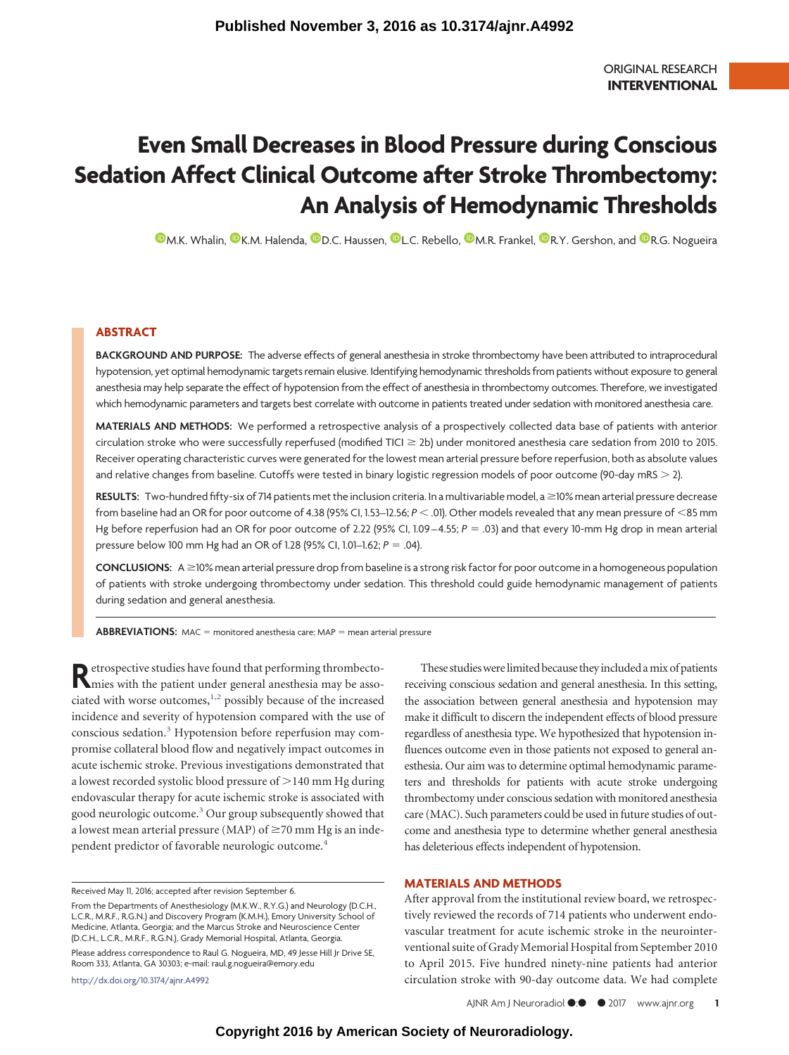# **Even Small Decreases in Blood Pressure during Conscious Sedation Affect Clinical Outcome after Stroke Thrombectomy: An Analysis of Hemodynamic Thresholds**

**D.[M.K. Whalin,](http://orcid.org/0000-0003-1576-5551) O.[K.M. Halenda,](http://orcid.org/0000-0003-3966-9660) O.[D.C. Haussen,](http://orcid.org/0000-0003-1884-2196) O.[L.C. Rebello,](http://orcid.org/0000-0002-3112-7560) O.[M.R. Frankel,](http://orcid.org/0000-0002-4424-7297) O.[R.Y. Gershon,](http://orcid.org/0000-0002-3074-1614) and O.[R.G. Nogueira](http://orcid.org/0000-0003-4532-153X)** 

## **ABSTRACT**

**BACKGROUND AND PURPOSE:** The adverse effects of general anesthesia in stroke thrombectomy have been attributed to intraprocedural hypotension, yet optimal hemodynamic targets remain elusive. Identifying hemodynamic thresholds from patients without exposure to general anesthesia may help separate the effect of hypotension from the effect of anesthesia in thrombectomy outcomes. Therefore, we investigated which hemodynamic parameters and targets best correlate with outcome in patients treated under sedation with monitored anesthesia care.

**MATERIALS AND METHODS:** We performed a retrospective analysis of a prospectively collected data base of patients with anterior circulation stroke who were successfully reperfused (modified TICI ≥ 2b) under monitored anesthesia care sedation from 2010 to 2015. Receiver operating characteristic curves were generated for the lowest mean arterial pressure before reperfusion, both as absolute values and relative changes from baseline. Cutoffs were tested in binary logistic regression models of poor outcome (90-day mRS - 2).

RESULTS: Two-hundred fifty-six of 714 patients met the inclusion criteria. In a multivariable model, a ≥10% mean arterial pressure decrease from baseline had an OR for poor outcome of 4.38 (95% CI, 1.53–12.56;  $P < 0$ 1). Other models revealed that any mean pressure of <85 mm Hg before reperfusion had an OR for poor outcome of 2.22 (95% CI, 1.09–4.55;  $P = .03$ ) and that every 10-mm Hg drop in mean arterial pressure below 100 mm Hg had an OR of 1.28 (95% CI, 1.01–1.62; *P* .04).

CONCLUSIONS: A ≥10% mean arterial pressure drop from baseline is a strong risk factor for poor outcome in a homogeneous population of patients with stroke undergoing thrombectomy under sedation. This threshold could guide hemodynamic management of patients during sedation and general anesthesia.

**ABBREVIATIONS:** MAC = monitored anesthesia care; MAP = mean arterial pressure

Retrospective studies have found that performing thrombecto-<br>mies with the patient under general anesthesia may be associated with worse outcomes, $1,2$  $1,2$  possibly because of the increased incidence and severity of hypotension compared with the use of conscious sedation[.3](#page-4-2) Hypotension before reperfusion may compromise collateral blood flow and negatively impact outcomes in acute ischemic stroke. Previous investigations demonstrated that a lowest recorded systolic blood pressure of  $>$  140 mm Hg during endovascular therapy for acute ischemic stroke is associated with good neurologic outcome[.3](#page-4-2) Our group subsequently showed that a lowest mean arterial pressure (MAP) of  $\geq$ 70 mm Hg is an independent predictor of favorable neurologic outcome.<sup>4</sup>

Received May 11, 2016; accepted after revision September 6.

Please address correspondence to Raul G. Nogueira, MD, 49 Jesse Hill Jr Drive SE, Room 333, Atlanta, GA 30303; e-mail: raul.g.nogueira@emory.edu

http://dx.doi.org/10.3174/ajnr.A4992

These studies were limited because they included a mix of patients receiving conscious sedation and general anesthesia. In this setting, the association between general anesthesia and hypotension may make it difficult to discern the independent effects of blood pressure regardless of anesthesia type. We hypothesized that hypotension influences outcome even in those patients not exposed to general anesthesia. Our aim was to determine optimal hemodynamic parameters and thresholds for patients with acute stroke undergoing thrombectomy under conscious sedation with monitored anesthesia care (MAC). Such parameters could be used in future studies of outcome and anesthesia type to determine whether general anesthesia has deleterious effects independent of hypotension.

#### **MATERIALS AND METHODS**

After approval from the institutional review board, we retrospectively reviewed the records of 714 patients who underwent endovascular treatment for acute ischemic stroke in the neurointerventional suite of Grady Memorial Hospital from September 2010 to April 2015. Five hundred ninety-nine patients had anterior circulation stroke with 90-day outcome data. We had complete

From the Departments of Anesthesiology (M.K.W., R.Y.G.) and Neurology (D.C.H., L.C.R., M.R.F., R.G.N.) and Discovery Program (K.M.H.), Emory University School of Medicine, Atlanta, Georgia; and the Marcus Stroke and Neuroscience Center (D.C.H., L.C.R., M.R.F., R.G.N.), Grady Memorial Hospital, Atlanta, Georgia.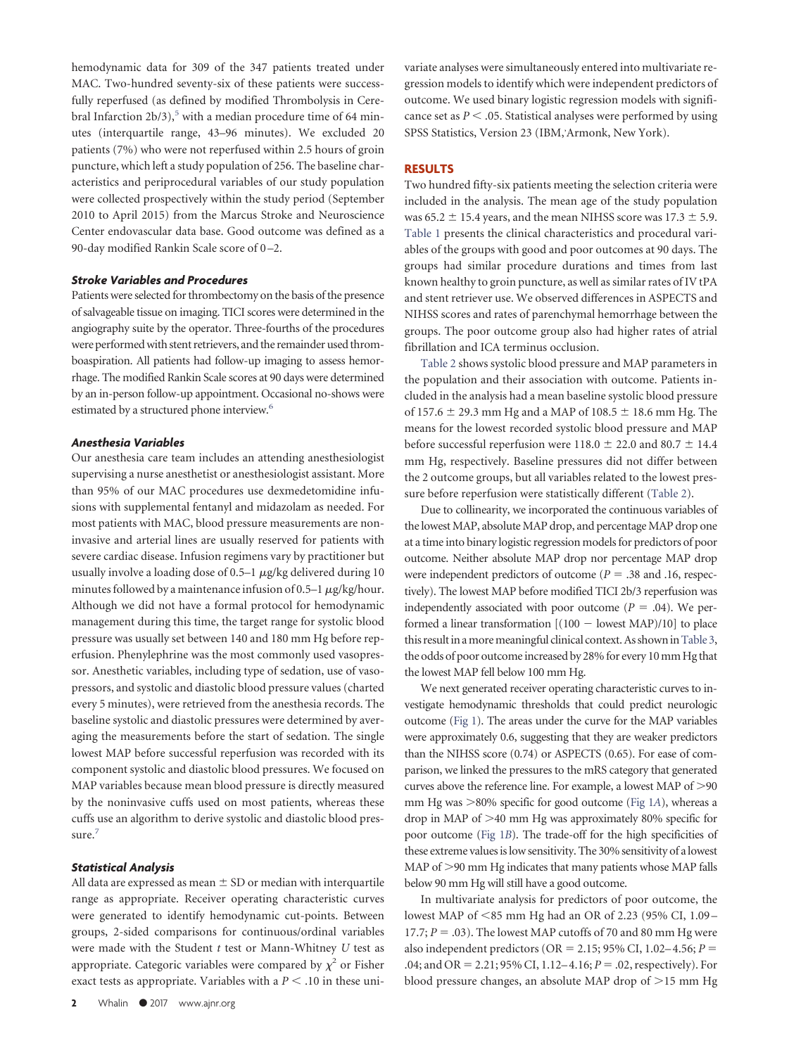hemodynamic data for 309 of the 347 patients treated under MAC. Two-hundred seventy-six of these patients were successfully reperfused (as defined by modified Thrombolysis in Cerebral Infarction  $2b/3$ ,<sup>5</sup> with a median procedure time of 64 minutes (interquartile range, 43–96 minutes). We excluded 20 patients (7%) who were not reperfused within 2.5 hours of groin puncture, which left a study population of 256. The baseline characteristics and periprocedural variables of our study population were collected prospectively within the study period (September 2010 to April 2015) from the Marcus Stroke and Neuroscience Center endovascular data base. Good outcome was defined as a 90-day modified Rankin Scale score of 0 –2.

#### *Stroke Variables and Procedures*

Patients were selected for thrombectomy on the basis of the presence of salvageable tissue on imaging. TICI scores were determined in the angiography suite by the operator. Three-fourths of the procedures were performed with stent retrievers, and the remainder used thromboaspiration. All patients had follow-up imaging to assess hemorrhage. The modified Rankin Scale scores at 90 days were determined by an in-person follow-up appointment. Occasional no-shows were estimated by a structured phone interview.<sup>6</sup>

### *Anesthesia Variables*

Our anesthesia care team includes an attending anesthesiologist supervising a nurse anesthetist or anesthesiologist assistant. More than 95% of our MAC procedures use dexmedetomidine infusions with supplemental fentanyl and midazolam as needed. For most patients with MAC, blood pressure measurements are noninvasive and arterial lines are usually reserved for patients with severe cardiac disease. Infusion regimens vary by practitioner but usually involve a loading dose of 0.5–1  $\mu$ g/kg delivered during 10 minutes followed by a maintenance infusion of 0.5–1  $\mu$ g/kg/hour. Although we did not have a formal protocol for hemodynamic management during this time, the target range for systolic blood pressure was usually set between 140 and 180 mm Hg before reperfusion. Phenylephrine was the most commonly used vasopressor. Anesthetic variables, including type of sedation, use of vasopressors, and systolic and diastolic blood pressure values (charted every 5 minutes), were retrieved from the anesthesia records. The baseline systolic and diastolic pressures were determined by averaging the measurements before the start of sedation. The single lowest MAP before successful reperfusion was recorded with its component systolic and diastolic blood pressures. We focused on MAP variables because mean blood pressure is directly measured by the noninvasive cuffs used on most patients, whereas these cuffs use an algorithm to derive systolic and diastolic blood pressure.<sup>7</sup>

#### *Statistical Analysis*

All data are expressed as mean  $\pm$  SD or median with interquartile range as appropriate. Receiver operating characteristic curves were generated to identify hemodynamic cut-points. Between groups, 2-sided comparisons for continuous/ordinal variables were made with the Student *t* test or Mann-Whitney *U* test as appropriate. Categoric variables were compared by  $\chi^2$  or Fisher exact tests as appropriate. Variables with a  $P < 0.10$  in these univariate analyses were simultaneously entered into multivariate regression models to identify which were independent predictors of outcome. We used binary logistic regression models with significance set as  $P < .05$ . Statistical analyses were performed by using SPSS Statistics, Version 23 (IBM, Armonk, New York).

### **RESULTS**

Two hundred fifty-six patients meeting the selection criteria were included in the analysis. The mean age of the study population was  $65.2 \pm 15.4$  years, and the mean NIHSS score was  $17.3 \pm 5.9$ . [Table 1](#page-2-0) presents the clinical characteristics and procedural variables of the groups with good and poor outcomes at 90 days. The groups had similar procedure durations and times from last known healthy to groin puncture, as well as similar rates of IV tPA and stent retriever use. We observed differences in ASPECTS and NIHSS scores and rates of parenchymal hemorrhage between the groups. The poor outcome group also had higher rates of atrial fibrillation and ICA terminus occlusion.

[Table 2](#page-2-1) shows systolic blood pressure and MAP parameters in the population and their association with outcome. Patients included in the analysis had a mean baseline systolic blood pressure of 157.6  $\pm$  29.3 mm Hg and a MAP of 108.5  $\pm$  18.6 mm Hg. The means for the lowest recorded systolic blood pressure and MAP before successful reperfusion were 118.0  $\pm$  22.0 and 80.7  $\pm$  14.4 mm Hg, respectively. Baseline pressures did not differ between the 2 outcome groups, but all variables related to the lowest pressure before reperfusion were statistically different [\(Table 2\)](#page-2-1).

Due to collinearity, we incorporated the continuous variables of the lowest MAP, absolute MAP drop, and percentage MAP drop one at a time into binary logistic regression models for predictors of poor outcome. Neither absolute MAP drop nor percentage MAP drop were independent predictors of outcome ( $P = .38$  and .16, respectively). The lowest MAP before modified TICI 2b/3 reperfusion was independently associated with poor outcome ( $P = .04$ ). We performed a linear transformation  $[(100 - \text{lowest MAP})/10]$  to place this result in a more meaningful clinical context. As shown in Table 3, the odds of poor outcome increased by 28% for every 10 mm Hg that the lowest MAP fell below 100 mm Hg.

We next generated receiver operating characteristic curves to investigate hemodynamic thresholds that could predict neurologic outcome [\(Fig 1\)](#page-3-1). The areas under the curve for the MAP variables were approximately 0.6, suggesting that they are weaker predictors than the NIHSS score (0.74) or ASPECTS (0.65). For ease of comparison, we linked the pressures to the mRS category that generated curves above the reference line. For example, a lowest MAP of >90 mm Hg was -80% specific for good outcome [\(Fig 1](#page-3-1)*A*), whereas a drop in MAP of -40 mm Hg was approximately 80% specific for poor outcome [\(Fig 1](#page-3-1)*B*). The trade-off for the high specificities of these extreme values is low sensitivity. The 30% sensitivity of a lowest MAP of >90 mm Hg indicates that many patients whose MAP falls below 90 mm Hg will still have a good outcome.

In multivariate analysis for predictors of poor outcome, the lowest MAP of <85 mm Hg had an OR of 2.23 (95% CI, 1.09 – 17.7;  $P = .03$ ). The lowest MAP cutoffs of 70 and 80 mm Hg were also independent predictors ( $OR = 2.15$ ; 95% CI, 1.02–4.56;  $P =$ .04; and OR = 2.21; 95% CI, 1.12–4.16; *P* = .02, respectively). For blood pressure changes, an absolute MAP drop of >15 mm Hg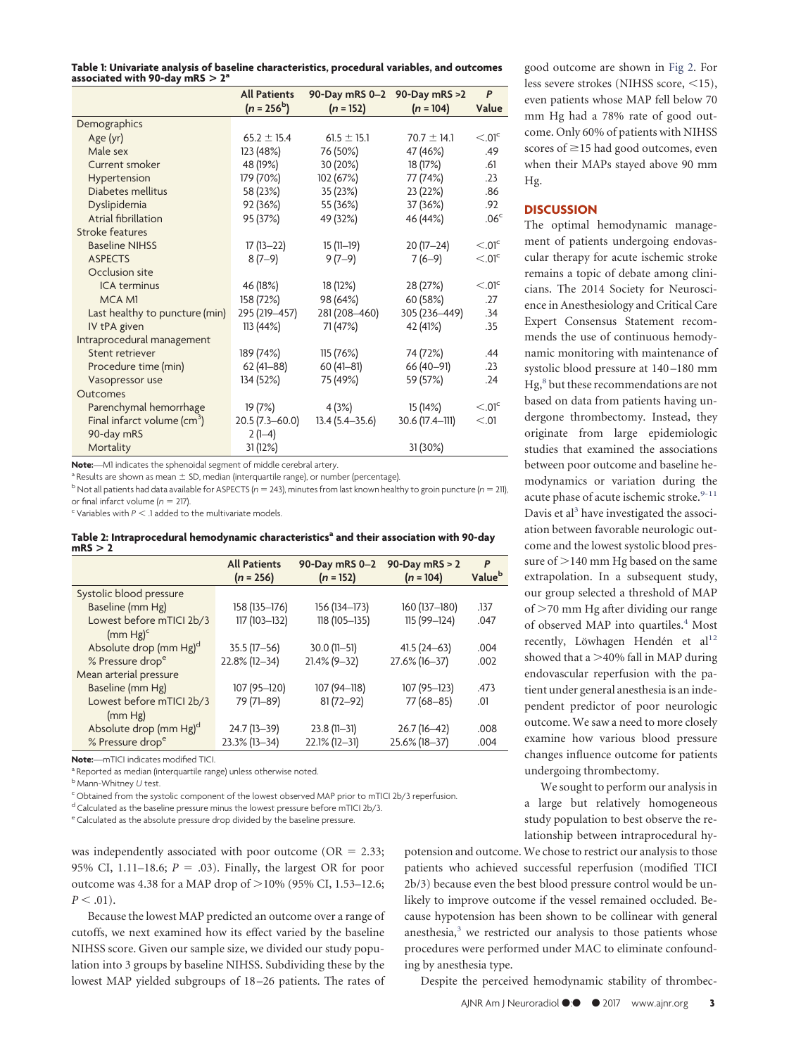<span id="page-2-0"></span>**Table 1: Univariate analysis of baseline characteristics, procedural variables, and outcomes associated with 90-day mRS > 2<sup>a</sup>**

|                                         | <b>All Patients</b><br>$(n = 256^b)$ | 90-Day mRS 0-2 90-Day mRS >2<br>$(n = 152)$ | $(n = 104)$     | P<br>Value            |
|-----------------------------------------|--------------------------------------|---------------------------------------------|-----------------|-----------------------|
| Demographics                            |                                      |                                             |                 |                       |
| Age (yr)                                | $65.2 \pm 15.4$                      | $61.5 \pm 15.1$                             | $70.7 \pm 14.1$ | $< 0.01$ <sup>c</sup> |
| Male sex                                | 123 (48%)                            | 76 (50%)                                    | 47 (46%)        | .49                   |
| Current smoker                          | 48 (19%)                             | 30 (20%)                                    | 18 (17%)        | .61                   |
| Hypertension                            | 179 (70%)                            | 102 (67%)                                   | 77 (74%)        | .23                   |
| Diabetes mellitus                       | 58 (23%)                             | 35 (23%)                                    | 23 (22%)        | .86                   |
| Dyslipidemia                            | 92 (36%)                             | 55 (36%)                                    | 37 (36%)        | .92                   |
| Atrial fibrillation                     | 95 (37%)                             | 49 (32%)                                    | 46 (44%)        | .06 <sup>c</sup>      |
| Stroke features                         |                                      |                                             |                 |                       |
| <b>Baseline NIHSS</b>                   | $17(13-22)$                          | $15(11-19)$                                 | $20(17-24)$     | $< 0.01$ c            |
| <b>ASPECTS</b>                          | $8(7-9)$                             | $9(7-9)$                                    | $7(6-9)$        | $< 0.01$ <sup>c</sup> |
| Occlusion site                          |                                      |                                             |                 |                       |
| <b>ICA</b> terminus                     | 46 (18%)                             | 18 (12%)                                    | 28 (27%)        | $< 0.01$ <sup>c</sup> |
| <b>MCA M1</b>                           | 158 (72%)                            | 98 (64%)                                    | 60 (58%)        | .27                   |
| Last healthy to puncture (min)          | 295 (219-457)                        | 281 (208-460)                               | 305 (236-449)   | .34                   |
| IV tPA given                            | 113(44%)                             | 71 (47%)                                    | 42 (41%)        | .35                   |
| Intraprocedural management              |                                      |                                             |                 |                       |
| Stent retriever                         | 189 (74%)                            | 115(76%)                                    | 74 (72%)        | .44                   |
| Procedure time (min)                    | $62(41 - 88)$                        | $60(41-81)$                                 | 66 (40-91)      | .23                   |
| Vasopressor use                         | 134 (52%)                            | 75 (49%)                                    | 59 (57%)        | .24                   |
| Outcomes                                |                                      |                                             |                 |                       |
| Parenchymal hemorrhage                  | 19(7%)                               | 4(3%)                                       | 15 (14%)        | $< 0.01$ <sup>c</sup> |
| Final infarct volume (cm <sup>3</sup> ) | $20.5(7.3 - 60.0)$                   | $13.4(5.4 - 35.6)$                          | 30.6 (17.4-111) | < 0.01                |
| 90-day mRS                              | $2(1-4)$                             |                                             |                 |                       |
| Mortality                               | 31 (12%)                             |                                             | 31 (30%)        |                       |

**Note:**—M1 indicates the sphenoidal segment of middle cerebral artery.

<sup>a</sup> Results are shown as mean  $\pm$  SD, median (interquartile range), or number (percentage).

 $b$  Not all patients had data available for ASPECTS ( $n = 243$ ), minutes from last known healthy to groin puncture ( $n = 211$ ), or final infarct volume  $(n = 217)$ .

 $\epsilon$  Variables with  $P < 1$  added to the multivariate models.

<span id="page-2-1"></span>

| Table 2: Intraprocedural hemodynamic characteristics <sup>a</sup> and their association with 90-day |  |  |
|-----------------------------------------------------------------------------------------------------|--|--|
| mRS > 2                                                                                             |  |  |

|                                    | <b>All Patients</b><br>$(n = 256)$ | 90-Day mRS 0-2<br>$(n = 152)$ | 90-Day mRS $> 2$<br>$(n = 104)$ | P<br>Value <sup>b</sup> |
|------------------------------------|------------------------------------|-------------------------------|---------------------------------|-------------------------|
| Systolic blood pressure            |                                    |                               |                                 |                         |
| Baseline (mm Hg)                   | 158 (135-176)                      | 156 (134-173)                 | 160 (137-180)                   | .137                    |
| Lowest before mTICI 2b/3           | 117 (103-132)                      | 118 (105-135)                 | 115 (99-124)                    | .047                    |
| $(mm Hg)^c$                        |                                    |                               |                                 |                         |
| Absolute drop (mm Hg) <sup>d</sup> | $35.5(17-56)$                      | $30.0(11 - 51)$               | $41.5(24-63)$                   | .004                    |
| % Pressure drop <sup>e</sup>       | 22.8% (12-34)                      | $21.4\%$ (9-32)               | 27.6% (16-37)                   | .002                    |
| Mean arterial pressure             |                                    |                               |                                 |                         |
| Baseline (mm Hg)                   | 107 (95-120)                       | 107 (94-118)                  | 107 (95-123)                    | .473                    |
| Lowest before mTICI 2b/3           | 79 (71-89)                         | $81(72 - 92)$                 | 77 (68-85)                      | .01                     |
| (mm Hg)                            |                                    |                               |                                 |                         |
| Absolute drop (mm Hg) <sup>d</sup> | 24.7 (13-39)                       | $23.8(11-31)$                 | $26.7(16-42)$                   | .008                    |
| % Pressure drop <sup>e</sup>       | 23.3% (13-34)                      | $22.1\%$ (12-31)              | 25.6% (18-37)                   | .004                    |

**Note:**—mTICI indicates modified TICI.

a Reported as median (interquartile range) unless otherwise noted.

<sup>b</sup> Mann-Whitney *U* test.

<sup>c</sup> Obtained from the systolic component of the lowest observed MAP prior to mTICI 2b/3 reperfusion.

 $^d$  Calculated as the baseline pressure minus the lowest pressure before mTICI 2b/3.

<sup>e</sup> Calculated as the absolute pressure drop divided by the baseline pressure.

was independently associated with poor outcome ( $OR = 2.33$ ; 95% CI, 1.11–18.6;  $P = .03$ ). Finally, the largest OR for poor outcome was 4.38 for a MAP drop of  $>$  10% (95% CI, 1.53–12.6;  $P < .01$ ).

Because the lowest MAP predicted an outcome over a range of cutoffs, we next examined how its effect varied by the baseline NIHSS score. Given our sample size, we divided our study population into 3 groups by baseline NIHSS. Subdividing these by the lowest MAP yielded subgroups of 18 –26 patients. The rates of

good outcome are shown in [Fig 2.](#page-4-7) For less severe strokes (NIHSS score, <15), even patients whose MAP fell below 70 mm Hg had a 78% rate of good outcome. Only 60% of patients with NIHSS scores of  $\geq$ 15 had good outcomes, even when their MAPs stayed above 90 mm Hg.

## **DISCUSSION**

The optimal hemodynamic management of patients undergoing endovascular therapy for acute ischemic stroke remains a topic of debate among clinicians. The 2014 Society for Neuroscience in Anesthesiology and Critical Care Expert Consensus Statement recommends the use of continuous hemodynamic monitoring with maintenance of systolic blood pressure at 140 –180 mm Hg,<sup>8</sup> but these recommendations are not based on data from patients having undergone thrombectomy. Instead, they originate from large epidemiologic studies that examined the associations between poor outcome and baseline hemodynamics or variation during the acute phase of acute ischemic stroke.<sup>9-[11](#page-4-10)</sup> Davis et al<sup>3</sup> have investigated the association between favorable neurologic outcome and the lowest systolic blood pressure of  $>$ 140 mm Hg based on the same extrapolation. In a subsequent study, our group selected a threshold of MAP of >70 mm Hg after dividing our range of observed MAP into quartiles.<sup>4</sup> Most recently, Löwhagen Hendén et al<sup>12</sup> showed that a  $>$ 40% fall in MAP during endovascular reperfusion with the patient under general anesthesia is an independent predictor of poor neurologic outcome. We saw a need to more closely examine how various blood pressure changes influence outcome for patients undergoing thrombectomy.

We sought to perform our analysis in a large but relatively homogeneous study population to best observe the relationship between intraprocedural hy-

potension and outcome. We chose to restrict our analysis to those patients who achieved successful reperfusion (modified TICI 2b/3) because even the best blood pressure control would be unlikely to improve outcome if the vessel remained occluded. Because hypotension has been shown to be collinear with general anesthesia, $3$  we restricted our analysis to those patients whose procedures were performed under MAC to eliminate confounding by anesthesia type.

Despite the perceived hemodynamic stability of thrombec-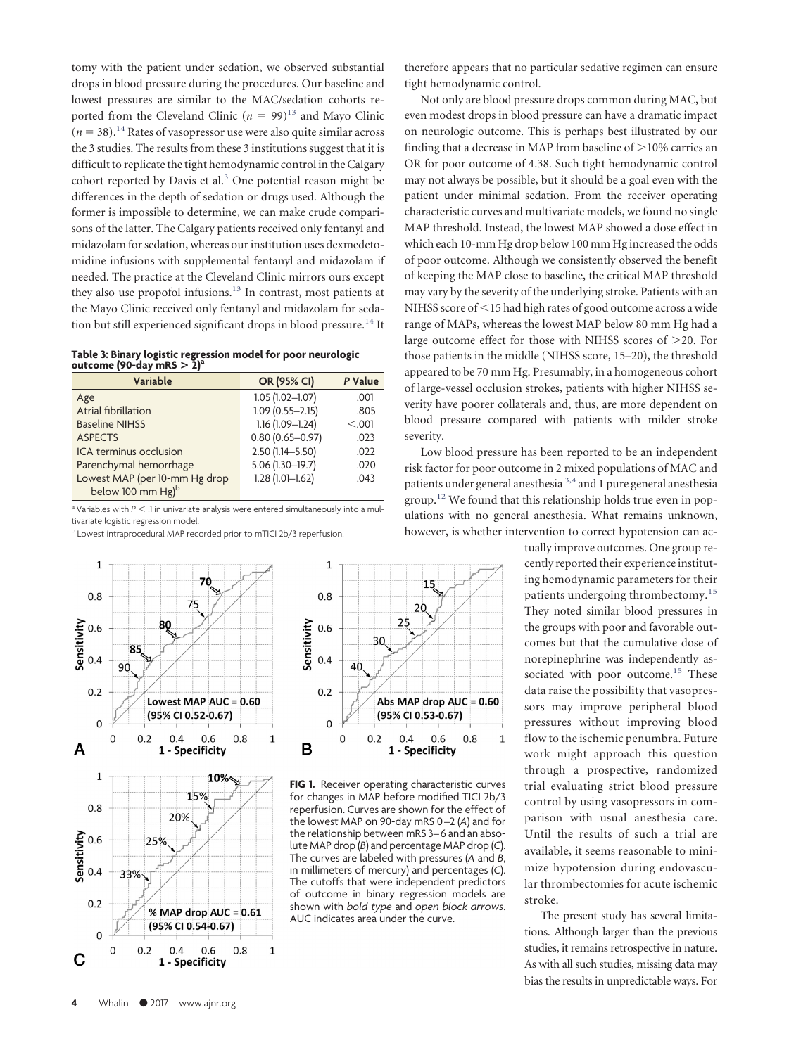tomy with the patient under sedation, we observed substantial drops in blood pressure during the procedures. Our baseline and lowest pressures are similar to the MAC/sedation cohorts reported from the Cleveland Clinic ( $n = 99$ )<sup>13</sup> and Mayo Clinic  $(n = 38).$ <sup>14</sup> Rates of vasopressor use were also quite similar across the 3 studies. The results from these 3 institutions suggest that it is difficult to replicate the tight hemodynamic control in the Calgary cohort reported by Davis et al.<sup>3</sup> One potential reason might be differences in the depth of sedation or drugs used. Although the former is impossible to determine, we can make crude comparisons of the latter. The Calgary patients received only fentanyl and midazolam for sedation, whereas our institution uses dexmedetomidine infusions with supplemental fentanyl and midazolam if needed. The practice at the Cleveland Clinic mirrors ours except they also use propofol infusions.<sup>13</sup> In contrast, most patients at the Mayo Clinic received only fentanyl and midazolam for sedation but still experienced significant drops in blood pressure.<sup>14</sup> It

<span id="page-3-0"></span>

| Table 3: Binary logistic regression model for poor neurologic<br>outcome (90-day mRS $> 2$ ) <sup>a</sup> |  |  |
|-----------------------------------------------------------------------------------------------------------|--|--|

| Variable                      | OR (95% CI)         | P Value |
|-------------------------------|---------------------|---------|
| Age                           | $1.05(1.02 - 1.07)$ | .001    |
| Atrial fibrillation           | $1.09(0.55 - 2.15)$ | .805    |
| <b>Baseline NIHSS</b>         | $1.16(1.09 - 1.24)$ | < 0.001 |
| <b>ASPECTS</b>                | $0.80(0.65 - 0.97)$ | .023    |
| ICA terminus occlusion        | $2.50(1.14 - 5.50)$ | .022    |
| Parenchymal hemorrhage        | $5.06(1.30-19.7)$   | .020    |
| Lowest MAP (per 10-mm Hg drop | $1.28(1.01 - 1.62)$ | .043    |
| below 100 mm Hg) <sup>b</sup> |                     |         |

 $a$  Variables with  $P < 1$  in univariate analysis were entered simultaneously into a multivariate logistic regression model.

**b** Lowest intraprocedural MAP recorded prior to mTICI 2b/3 reperfusion.

<span id="page-3-1"></span>



**FIG 1.** Receiver operating characteristic curves for changes in MAP before modified TICI 2b/3 reperfusion. Curves are shown for the effect of the lowest MAP on 90-day mRS 0 –2 (*A*) and for the relationship between mRS 3–6 and an absolute MAP drop (*B*) and percentage MAP drop (*C*). The curves are labeled with pressures (*A* and *B*, in millimeters of mercury) and percentages (*C*). The cutoffs that were independent predictors of outcome in binary regression models are shown with *bold type* and *open block arrows*. AUC indicates area under the curve.

therefore appears that no particular sedative regimen can ensure tight hemodynamic control.

Not only are blood pressure drops common during MAC, but even modest drops in blood pressure can have a dramatic impact on neurologic outcome. This is perhaps best illustrated by our finding that a decrease in MAP from baseline of  $>$ 10% carries an OR for poor outcome of 4.38. Such tight hemodynamic control may not always be possible, but it should be a goal even with the patient under minimal sedation. From the receiver operating characteristic curves and multivariate models, we found no single MAP threshold. Instead, the lowest MAP showed a dose effect in which each 10-mm Hg drop below 100 mm Hg increased the odds of poor outcome. Although we consistently observed the benefit of keeping the MAP close to baseline, the critical MAP threshold may vary by the severity of the underlying stroke. Patients with an NIHSS score of  $\leq$ 15 had high rates of good outcome across a wide range of MAPs, whereas the lowest MAP below 80 mm Hg had a large outcome effect for those with NIHSS scores of  $>$ 20. For those patients in the middle (NIHSS score, 15–20), the threshold appeared to be 70 mm Hg. Presumably, in a homogeneous cohort of large-vessel occlusion strokes, patients with higher NIHSS severity have poorer collaterals and, thus, are more dependent on blood pressure compared with patients with milder stroke severity.

Low blood pressure has been reported to be an independent risk factor for poor outcome in 2 mixed populations of MAC and patients under general anesthesia<sup>[3,](#page-4-2)[4](#page-4-3)</sup> and 1 pure general anesthesia group.<sup>12</sup> We found that this relationship holds true even in populations with no general anesthesia. What remains unknown, however, is whether intervention to correct hypotension can ac-

> tually improve outcomes. One group recently reported their experience instituting hemodynamic parameters for their patients undergoing thrombectomy.<sup>[15](#page-4-14)</sup> They noted similar blood pressures in the groups with poor and favorable outcomes but that the cumulative dose of norepinephrine was independently associated with poor outcome.<sup>15</sup> These data raise the possibility that vasopressors may improve peripheral blood pressures without improving blood flow to the ischemic penumbra. Future work might approach this question through a prospective, randomized trial evaluating strict blood pressure control by using vasopressors in comparison with usual anesthesia care. Until the results of such a trial are available, it seems reasonable to minimize hypotension during endovascular thrombectomies for acute ischemic stroke.

> The present study has several limitations. Although larger than the previous studies, it remains retrospective in nature. As with all such studies, missing data may bias the results in unpredictable ways. For